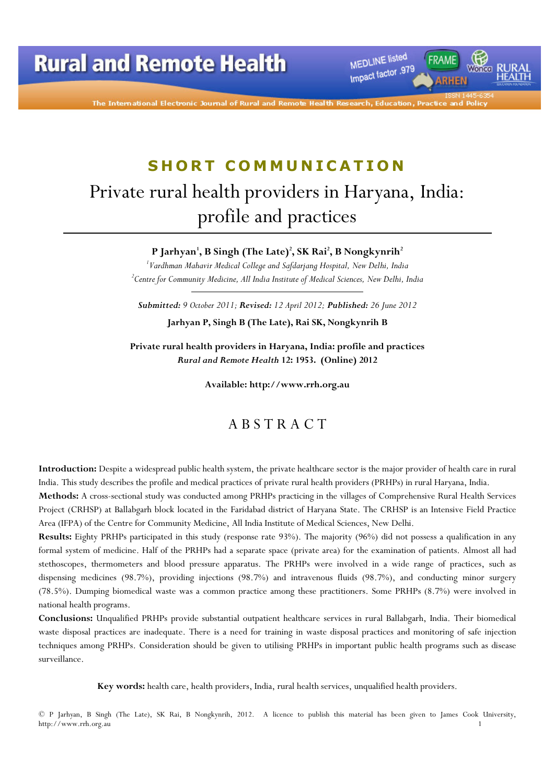MEDLINE listed Impact factor .979

The International Electronic Journal of Rural and Remote

# SHORT COMMUNICATION Private rural health providers in Haryana, India: profile and practices

P Jarhyan', B Singh (The Late)<sup>2</sup>, SK Rai<sup>2</sup>, B Nongkynrih<sup>2</sup>

 $^{\prime}$ Vardhman Mahavir Medical College and Safdarjang Hospital, New Delhi, India  $\,{}^{2}$ Centre for Community Medicine, All India Institute of Medical Sciences, New Delhi, India

Submitted: 9 October 2011; Revised: 12 April 2012; Published: 26 June 2012

Jarhyan P, Singh B (The Late), Rai SK, Nongkynrih B

Private rural health providers in Haryana, India: profile and practices Rural and Remote Health 12: 1953. (Online) 2012

Available: http://www.rrh.org.au

#### A B S T R A C T

Introduction: Despite a widespread public health system, the private healthcare sector is the major provider of health care in rural India. This study describes the profile and medical practices of private rural health providers (PRHPs) in rural Haryana, India.

Methods: A cross-sectional study was conducted among PRHPs practicing in the villages of Comprehensive Rural Health Services Project (CRHSP) at Ballabgarh block located in the Faridabad district of Haryana State. The CRHSP is an Intensive Field Practice Area (IFPA) of the Centre for Community Medicine, All India Institute of Medical Sciences, New Delhi.

Results: Eighty PRHPs participated in this study (response rate 93%). The majority (96%) did not possess a qualification in any formal system of medicine. Half of the PRHPs had a separate space (private area) for the examination of patients. Almost all had stethoscopes, thermometers and blood pressure apparatus. The PRHPs were involved in a wide range of practices, such as dispensing medicines (98.7%), providing injections (98.7%) and intravenous fluids (98.7%), and conducting minor surgery (78.5%). Dumping biomedical waste was a common practice among these practitioners. Some PRHPs (8.7%) were involved in national health programs.

Conclusions: Unqualified PRHPs provide substantial outpatient healthcare services in rural Ballabgarh, India. Their biomedical waste disposal practices are inadequate. There is a need for training in waste disposal practices and monitoring of safe injection techniques among PRHPs. Consideration should be given to utilising PRHPs in important public health programs such as disease surveillance.

Key words: health care, health providers, India, rural health services, unqualified health providers.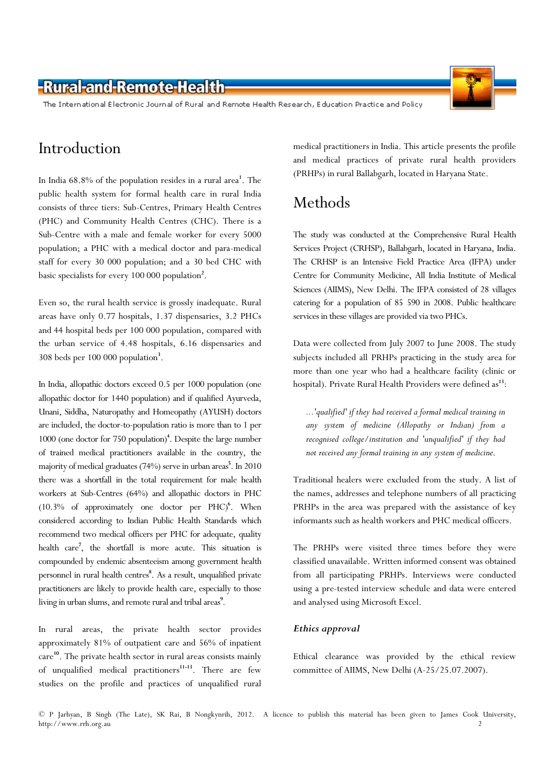The International Electronic Journal of Rural and Remote Health Research, Education Practice and Policy

# Introduction

In India 68.8% of the population resides in a rural area<sup>1</sup>. The public health system for formal health care in rural India consists of three tiers: Sub-Centres, Primary Health Centres (PHC) and Community Health Centres (CHC). There is a Sub-Centre with a male and female worker for every 5000 population; a PHC with a medical doctor and para-medical staff for every 30 000 population; and a 30 bed CHC with basic specialists for every 100 000 population<sup>2</sup>.

Even so, the rural health service is grossly inadequate. Rural areas have only 0.77 hospitals, 1.37 dispensaries, 3.2 PHCs and 44 hospital beds per 100 000 population, compared with the urban service of 4.48 hospitals, 6.16 dispensaries and 308 beds per 100 000 population<sup>3</sup> .

In India, allopathic doctors exceed 0.5 per 1000 population (one allopathic doctor for 1440 population) and if qualified Ayurveda, Unani, Siddha, Naturopathy and Homeopathy (AYUSH) doctors are included, the doctor-to-population ratio is more than to 1 per 1000 (one doctor for 750 population)<sup>4</sup>. Despite the large number of trained medical practitioners available in the country, the majority of medical graduates (74%) serve in urban areas 5 . In 2010 there was a shortfall in the total requirement for male health workers at Sub-Centres (64%) and allopathic doctors in PHC (10.3% of approximately one doctor per PHC)<sup>6</sup>. When considered according to Indian Public Health Standards which recommend two medical officers per PHC for adequate, quality health care<sup>7</sup> , the shortfall is more acute. This situation is compounded by endemic absenteeism among government health personnel in rural health centres<sup>8</sup>. As a result, unqualified private practitioners are likely to provide health care, especially to those living in urban slums, and remote rural and tribal areas<sup>9</sup>.

In rural areas, the private health sector provides approximately 81% of outpatient care and 56% of inpatient care<sup>10</sup>. The private health sector in rural areas consists mainly of unqualified medical practitioners<sup>11-13</sup>. There are few studies on the profile and practices of unqualified rural

medical practitioners in India. This article presents the profile and medical practices of private rural health providers (PRHPs) in rural Ballabgarh, located in Haryana State.

# Methods

The study was conducted at the Comprehensive Rural Health Services Project (CRHSP), Ballabgarh, located in Haryana, India. The CRHSP is an Intensive Field Practice Area (IFPA) under Centre for Community Medicine, All India Institute of Medical Sciences (AIIMS), New Delhi. The IFPA consisted of 28 villages catering for a population of 85 590 in 2008. Public healthcare services in these villages are provided via two PHCs.

Data were collected from July 2007 to June 2008. The study subjects included all PRHPs practicing in the study area for more than one year who had a healthcare facility (clinic or hospital). Private Rural Health Providers were defined as<sup>13</sup>:

...'qualified' if they had received a formal medical training in any system of medicine (Allopathy or Indian) from a recognised college/institution and 'unqualified' if they had not received any formal training in any system of medicine.

Traditional healers were excluded from the study. A list of the names, addresses and telephone numbers of all practicing PRHPs in the area was prepared with the assistance of key informants such as health workers and PHC medical officers.

The PRHPs were visited three times before they were classified unavailable. Written informed consent was obtained from all participating PRHPs. Interviews were conducted using a pre-tested interview schedule and data were entered and analysed using Microsoft Excel.

#### Ethics approval

Ethical clearance was provided by the ethical review committee of AIIMS, New Delhi (A-25/25.07.2007).

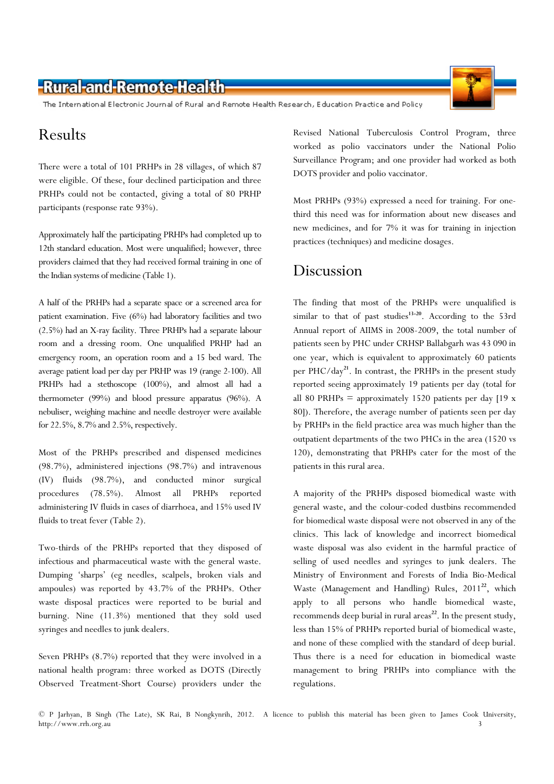The International Electronic Journal of Rural and Remote Health Research, Education Practice and Policy

### Results

There were a total of 101 PRHPs in 28 villages, of which 87 were eligible. Of these, four declined participation and three PRHPs could not be contacted, giving a total of 80 PRHP participants (response rate 93%).

Approximately half the participating PRHPs had completed up to 12th standard education. Most were unqualified; however, three providers claimed that they had received formal training in one of the Indian systems of medicine (Table 1).

A half of the PRHPs had a separate space or a screened area for patient examination. Five (6%) had laboratory facilities and two (2.5%) had an X-ray facility. Three PRHPs had a separate labour room and a dressing room. One unqualified PRHP had an emergency room, an operation room and a 15 bed ward. The average patient load per day per PRHP was 19 (range 2-100). All PRHPs had a stethoscope (100%), and almost all had a thermometer (99%) and blood pressure apparatus (96%). A nebuliser, weighing machine and needle destroyer were available for 22.5%, 8.7% and 2.5%, respectively.

Most of the PRHPs prescribed and dispensed medicines (98.7%), administered injections (98.7%) and intravenous (IV) fluids (98.7%), and conducted minor surgical procedures (78.5%). Almost all PRHPs reported administering IV fluids in cases of diarrhoea, and 15% used IV fluids to treat fever (Table 2).

Two-thirds of the PRHPs reported that they disposed of infectious and pharmaceutical waste with the general waste. Dumping 'sharps' (eg needles, scalpels, broken vials and ampoules) was reported by 43.7% of the PRHPs. Other waste disposal practices were reported to be burial and burning. Nine (11.3%) mentioned that they sold used syringes and needles to junk dealers.

Seven PRHPs (8.7%) reported that they were involved in a national health program: three worked as DOTS (Directly Observed Treatment-Short Course) providers under the

Revised National Tuberculosis Control Program, three worked as polio vaccinators under the National Polio Surveillance Program; and one provider had worked as both DOTS provider and polio vaccinator.

Most PRHPs (93%) expressed a need for training. For onethird this need was for information about new diseases and new medicines, and for 7% it was for training in injection practices (techniques) and medicine dosages.

#### Discussion

The finding that most of the PRHPs were unqualified is similar to that of past studies<sup>13-20</sup>. According to the 53rd Annual report of AIIMS in 2008-2009, the total number of patients seen by PHC under CRHSP Ballabgarh was 43 090 in one year, which is equivalent to approximately 60 patients per PHC/day<sup>21</sup>. In contrast, the PRHPs in the present study reported seeing approximately 19 patients per day (total for all 80 PRHPs = approximately 1520 patients per day  $[19 \times 10^{19}]$ 80]). Therefore, the average number of patients seen per day by PRHPs in the field practice area was much higher than the outpatient departments of the two PHCs in the area (1520 vs 120), demonstrating that PRHPs cater for the most of the patients in this rural area.

A majority of the PRHPs disposed biomedical waste with general waste, and the colour-coded dustbins recommended for biomedical waste disposal were not observed in any of the clinics. This lack of knowledge and incorrect biomedical waste disposal was also evident in the harmful practice of selling of used needles and syringes to junk dealers. The Ministry of Environment and Forests of India Bio-Medical Waste (Management and Handling) Rules,  $2011^{22}$ , which apply to all persons who handle biomedical waste, recommends deep burial in rural areas<sup>22</sup>. In the present study, less than 15% of PRHPs reported burial of biomedical waste, and none of these complied with the standard of deep burial. Thus there is a need for education in biomedical waste management to bring PRHPs into compliance with the regulations.



<sup>©</sup> P Jarhyan, B Singh (The Late), SK Rai, B Nongkynrih, 2012. A licence to publish this material has been given to James Cook University, http://www.rrh.org.au 3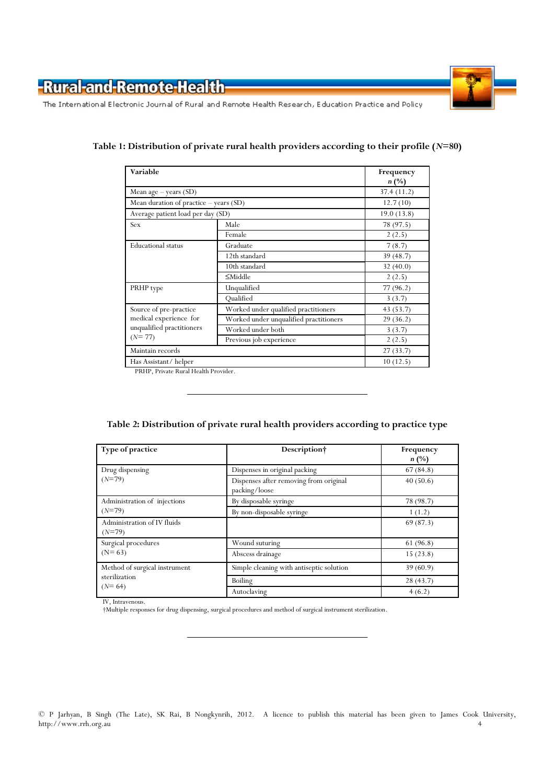

The International Electronic Journal of Rural and Remote Health Research, Education Practice and Policy

| Variable                                                                                  |                                        | Frequency<br>$n(\%)$ |
|-------------------------------------------------------------------------------------------|----------------------------------------|----------------------|
| Mean age $-$ years $(SD)$                                                                 |                                        | 37.4(11.2)           |
| Mean duration of practice - years (SD)                                                    |                                        | 12.7(10)             |
| Average patient load per day (SD)                                                         |                                        | 19.0(13.8)           |
| Sex                                                                                       | Male                                   | 78 (97.5)            |
|                                                                                           | Female                                 | 2(2.5)               |
| <b>Educational</b> status                                                                 | Graduate                               | 7(8.7)               |
|                                                                                           | 12th standard                          | 39(48.7)             |
|                                                                                           | 10th standard                          | 32(40.0)             |
|                                                                                           | $\leq$ Middle                          | 2(2.5)               |
| PRHP type                                                                                 | Unqualified                            | 77 (96.2)            |
|                                                                                           | Qualified                              | 3(3.7)               |
| Source of pre-practice<br>medical experience for<br>unqualified practitioners<br>$(N=77)$ | Worked under qualified practitioners   | 43 (53.7)            |
|                                                                                           | Worked under unqualified practitioners | 29(36.2)             |
|                                                                                           | Worked under both                      | 3(3.7)               |
|                                                                                           | Previous job experience                | 2(2.5)               |
| Maintain records                                                                          |                                        | 27(33.7)             |
| Has Assistant/helper                                                                      |                                        | 10(12.5)             |

#### Table 1: Distribution of private rural health providers according to their profile  $(N=80)$

PRHP, Private Rural Health Provider.

#### Table 2: Distribution of private rural health providers according to practice type

| Type of practice                                           | Description†                                            | Frequency<br>$n(^{0}/_{0})$ |
|------------------------------------------------------------|---------------------------------------------------------|-----------------------------|
| Drug dispensing<br>$(N=79)$                                | Dispenses in original packing                           | 67(84.8)                    |
|                                                            | Dispenses after removing from original<br>packing/loose | 40(50.6)                    |
| Administration of injections<br>$(N=79)$                   | By disposable syringe                                   | 78 (98.7)                   |
|                                                            | By non-disposable syringe                               | 1(1.2)                      |
| Administration of IV fluids<br>$(N=79)$                    |                                                         | 69(87.3)                    |
| Surgical procedures<br>$(N=63)$                            | Wound suturing                                          | 61 (96.8)                   |
|                                                            | Abscess drainage                                        | 15(23.8)                    |
| Method of surgical instrument<br>sterilization<br>$(N=64)$ | Simple cleaning with antiseptic solution                | 39(60.9)                    |
|                                                            | Boiling                                                 | 28(43.7)                    |
|                                                            | Autoclaving                                             | 4(6.2)                      |

IV, Intravenous.

†Multiple responses for drug dispensing, surgical procedures and method of surgical instrument sterilization.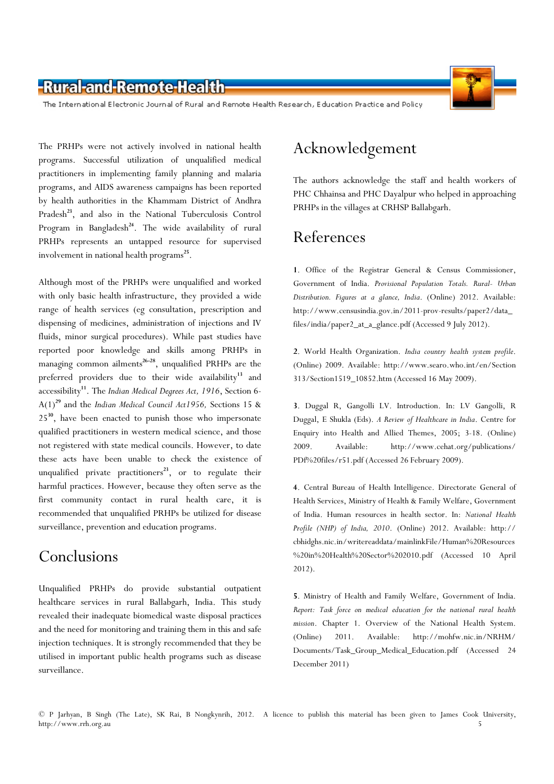

The International Electronic Journal of Rural and Remote Health Research, Education Practice and Policy

The PRHPs were not actively involved in national health programs. Successful utilization of unqualified medical practitioners in implementing family planning and malaria programs, and AIDS awareness campaigns has been reported by health authorities in the Khammam District of Andhra Pradesh<sup>23</sup>, and also in the National Tuberculosis Control Program in Bangladesh $^{24}$ . The wide availability of rural PRHPs represents an untapped resource for supervised involvement in national health programs<sup>25</sup>.

Although most of the PRHPs were unqualified and worked with only basic health infrastructure, they provided a wide range of health services (eg consultation, prescription and dispensing of medicines, administration of injections and IV fluids, minor surgical procedures). While past studies have reported poor knowledge and skills among PRHPs in managing common ailments<sup>26-28</sup>, unqualified PRHPs are the preferred providers due to their wide availability<sup>13</sup> and accessibility<sup>11</sup>. The Indian Medical Degrees Act, 1916, Section 6- $A(1)^{29}$  and the *Indian Medical Council Act1956*, Sections 15 & 25<sup>30</sup>, have been enacted to punish those who impersonate qualified practitioners in western medical science, and those not registered with state medical councils. However, to date these acts have been unable to check the existence of unqualified private practitioners<sup>23</sup>, or to regulate their harmful practices. However, because they often serve as the first community contact in rural health care, it is recommended that unqualified PRHPs be utilized for disease surveillance, prevention and education programs.

## Conclusions

Unqualified PRHPs do provide substantial outpatient healthcare services in rural Ballabgarh, India. This study revealed their inadequate biomedical waste disposal practices and the need for monitoring and training them in this and safe injection techniques. It is strongly recommended that they be utilised in important public health programs such as disease surveillance.

# Acknowledgement

The authors acknowledge the staff and health workers of PHC Chhainsa and PHC Dayalpur who helped in approaching PRHPs in the villages at CRHSP Ballabgarh.

## References

1. Office of the Registrar General & Census Commissioner, Government of India. Provisional Population Totals. Rural- Urban Distribution. Figures at a glance, India. (Online) 2012. Available: http://www.censusindia.gov.in/2011-prov-results/paper2/data\_ files/india/paper2\_at\_a\_glance.pdf (Accessed 9 July 2012).

2. World Health Organization. India country health system profile. (Online) 2009. Available: http://www.searo.who.int/en/Section 313/Section1519\_10852.htm (Accessed 16 May 2009).

3. Duggal R, Gangolli LV. Introduction. In: LV Gangolli, R Duggal, E Shukla (Eds). A Review of Healthcare in India. Centre for Enquiry into Health and Allied Themes, 2005; 3-18. (Online) 2009. Available: http://www.cehat.org/publications/ PDf%20files/r51.pdf (Accessed 26 February 2009).

4. Central Bureau of Health Intelligence. Directorate General of Health Services, Ministry of Health & Family Welfare, Government of India. Human resources in health sector. In: National Health Profile (NHP) of India, 2010. (Online) 2012. Available: http:// cbhidghs.nic.in/writereaddata/mainlinkFile/Human%20Resources %20in%20Health%20Sector%202010.pdf (Accessed 10 April 2012).

5. Ministry of Health and Family Welfare, Government of India. Report: Task force on medical education for the national rural health mission. Chapter 1. Overview of the National Health System. (Online) 2011. Available: http://mohfw.nic.in/NRHM/ Documents/Task\_Group\_Medical\_Education.pdf (Accessed 24 December 2011)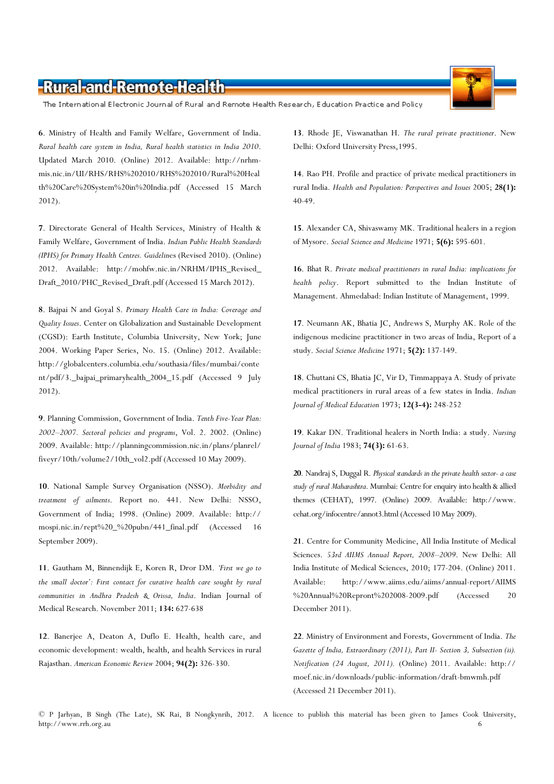The International Electronic Journal of Rural and Remote Health Research, Education Practice and Policy

6. Ministry of Health and Family Welfare, Government of India. Rural health care system in India, Rural health statistics in India 2010. Updated March 2010. (Online) 2012. Available: http://nrhmmis.nic.in/UI/RHS/RHS%202010/RHS%202010/Rural%20Heal th%20Care%20System%20in%20India.pdf (Accessed 15 March 2012).

7. Directorate General of Health Services, Ministry of Health & Family Welfare, Government of India. Indian Public Health Standards (IPHS) for Primary Health Centres. Guidelines (Revised 2010). (Online) 2012. Available: http://mohfw.nic.in/NRHM/IPHS\_Revised\_ Draft\_2010/PHC\_Revised\_Draft.pdf (Accessed 15 March 2012).

8. Bajpai N and Goyal S. Primary Health Care in India: Coverage and Quality Issues. Center on Globalization and Sustainable Development (CGSD): Earth Institute, Columbia University, New York; June 2004. Working Paper Series, No. 15. (Online) 2012. Available: http://globalcenters.columbia.edu/southasia/files/mumbai/conte nt/pdf/3.\_bajpai\_primaryhealth\_2004\_15.pdf (Accessed 9 July 2012).

9. Planning Commission, Government of India. Tenth Five-Year Plan: 2002–2007. Sectoral policies and programs, Vol. 2. 2002. (Online) 2009. Available: http://planningcommission.nic.in/plans/planrel/ fiveyr/10th/volume2/10th\_vol2.pdf (Accessed 10 May 2009).

10. National Sample Survey Organisation (NSSO). Morbidity and treatment of ailments. Report no. 441. New Delhi: NSSO, Government of India; 1998. (Online) 2009. Available: http:// mospi.nic.in/rept%20\_%20pubn/441\_final.pdf (Accessed 16 September 2009).

11. Gautham M, Binnendijk E, Koren R, Dror DM. 'First we go to the small doctor': First contact for curative health care sought by rural communities in Andhra Pradesh & Orissa, India. Indian Journal of Medical Research. November 2011; 134: 627-638

12. Banerjee A, Deaton A, Duflo E. Health, health care, and economic development: wealth, health, and health Services in rural Rajasthan. American Economic Review 2004; 94(2): 326-330.

13. Rhode JE, Viswanathan H. The rural private practitioner. New Delhi: Oxford University Press,1995.

14. Rao PH. Profile and practice of private medical practitioners in rural India. Health and Population: Perspectives and Issues 2005; 28(1): 40-49.

15. Alexander CA, Shivaswamy MK. Traditional healers in a region of Mysore. Social Science and Medicine 1971; 5(6): 595-601.

16. Bhat R. Private medical practitioners in rural India: implications for health policy. Report submitted to the Indian Institute of Management. Ahmedabad: Indian Institute of Management, 1999.

17. Neumann AK, Bhatia JC, Andrews S, Murphy AK. Role of the indigenous medicine practitioner in two areas of India, Report of a study. Social Science Medicine 1971; 5(2): 137-149.

18. Chuttani CS, Bhatia JC, Vir D, Timmappaya A. Study of private medical practitioners in rural areas of a few states in India. Indian Journal of Medical Education 1973; 12(3-4): 248-252

19. Kakar DN. Traditional healers in North India: a study. Nursing Journal of India 1983; 74(3): 61-63.

20. Nandraj S, Duggal R. Physical standards in the private health sector- a case study of rural Maharashtra. Mumbai: Centre for enquiry into health & allied themes (CEHAT), 1997. (Online) 2009. Available: http://www. cehat.org/infocentre/annot3.html (Accessed 10 May 2009).

21. Centre for Community Medicine, All India Institute of Medical Sciences. 53rd AIIMS Annual Report, 2008–2009. New Delhi: All India Institute of Medical Sciences, 2010; 177-204. (Online) 2011. Available: http://www.aiims.edu/aiims/annual-report/AIIMS %20Annual%20Repront%202008-2009.pdf (Accessed 20 December 2011).

22. Ministry of Environment and Forests, Government of India. The Gazette of India, Extraordinary (2011), Part II- Section 3, Subsection (ii). Notification (24 August, 2011). (Online) 2011. Available: http:// moef.nic.in/downloads/public-information/draft-bmwmh.pdf (Accessed 21 December 2011).